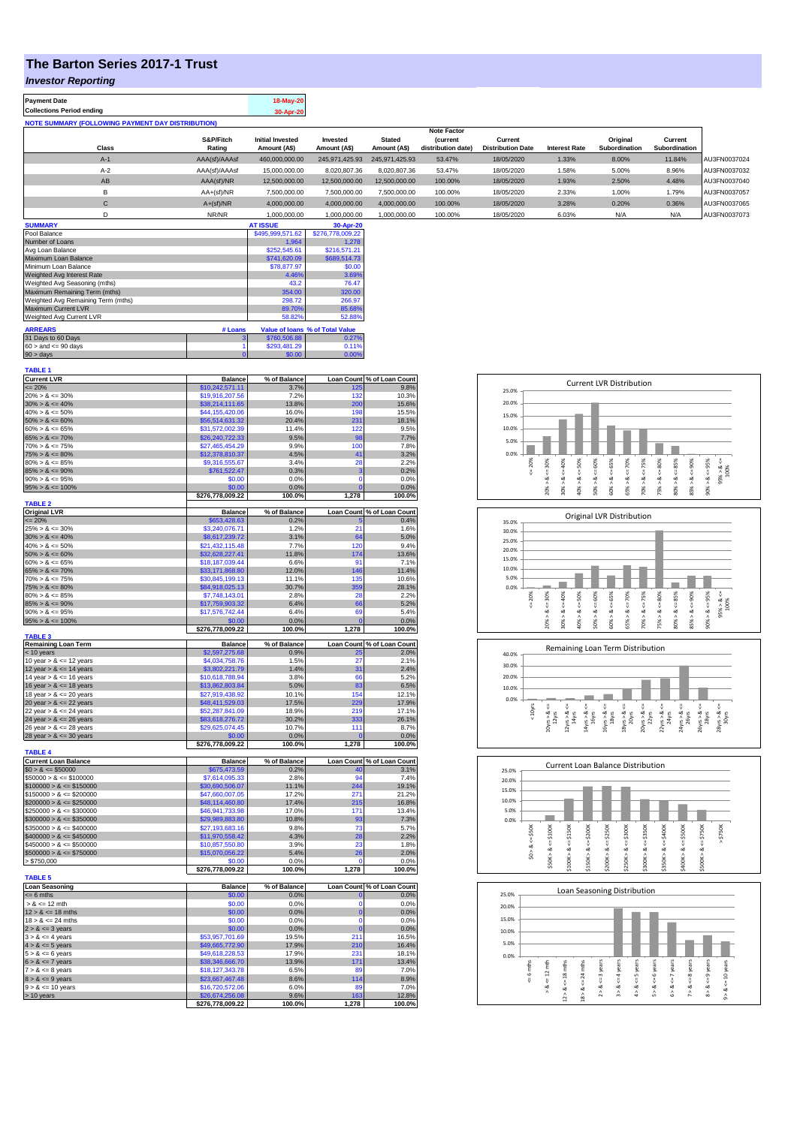## **The Barton Series 2017-1 Trust**

### *Investor Reporting*

| <b>Payment Date</b>                                      | 18-May-20 |
|----------------------------------------------------------|-----------|
| <b>Collections Period ending</b>                         | 30-Apr-20 |
| <b>NOTE SUMMARY (FOLLOWING PAYMENT DAY DISTRIBUTION)</b> |           |

|              |               |                         |                |                | <b>Note Factor</b> |                          |                      |               |               |              |
|--------------|---------------|-------------------------|----------------|----------------|--------------------|--------------------------|----------------------|---------------|---------------|--------------|
|              | S&P/Fitch     | <b>Initial Invested</b> | Invested       | <b>Stated</b>  | <b>(current</b>    | Current                  |                      | Original      | Current       |              |
| Class        | Rating        | Amount (A\$)            | Amount (A\$)   | Amount (A\$)   | distribution date) | <b>Distribution Date</b> | <b>Interest Rate</b> | Subordination | Subordination |              |
| $A-1$        | AAA(sf)/AAAsf | 460.000.000.00          | 245.971.425.93 | 245.971.425.93 | 53.47%             | 18/05/2020               | 1.33%                | 8.00%         | 11.84%        | AU3FN0037024 |
| $A-2$        | AAA(sf)/AAAsf | 15,000,000,00           | 8.020.807.36   | 8,020,807.36   | 53.47%             | 18/05/2020               | 1.58%                | 5.00%         | 8.96%         | AU3FN0037032 |
| AB           | AAA(sf)/NR    | 12,500,000.00           | 12.500.000.00  | 12.500.000.00  | 100.00%            | 18/05/2020               | 1.93%                | 2.50%         | 4.48%         | AU3FN0037040 |
| в            | $AA+(sf)/NR$  | 7.500.000.00            | 7.500.000.00   | 7.500.000.00   | 100.00%            | 18/05/2020               | 2.33%                | 1.00%         | 1.79%         | AU3FN0037057 |
| $\mathsf{C}$ | $A+(sf)/NR$   | 4.000.000.00            | 4.000.000.00   | 4.000.000.00   | 100.00%            | 18/05/2020               | 3.28%                | 0.20%         | 0.36%         | AU3FN0037065 |
|              | NR/NR         | 1,000,000.00            | 1,000,000.00   | 1,000,000.00   | 100.00%            | 18/05/2020               | 6.03%                | N/A           | N/A           | AU3FN0037073 |
| ------------ |               | -----------             |                |                |                    |                          |                      |               |               |              |

| <b>SUMMARY</b>                     |         | <b>AT ISSUE</b>  | 30-Apr-20                       |
|------------------------------------|---------|------------------|---------------------------------|
| Pool Balance                       |         | \$495,999,571.62 | \$276,778,009.22                |
| Number of Loans                    |         | 1.964            | 1.278                           |
| Avg Loan Balance                   |         | \$252,545.61     | \$216,571.21                    |
| Maximum Loan Balance               |         | \$741,620.09     | \$689,514.73                    |
| Minimum Loan Balance               |         | \$78,877.97      | \$0.00                          |
| <b>Weighted Avg Interest Rate</b>  |         | 4.46%            | 3.69%                           |
| Weighted Avg Seasoning (mths)      |         | 43.2             | 76.47                           |
| Maximum Remaining Term (mths)      |         | 354.00           | 320.00                          |
| Weighted Avg Remaining Term (mths) |         | 298.72           | 266.97                          |
| Maximum Current LVR                |         | 89.70%           | 85.68%                          |
| Weighted Avg Current LVR           |         | 58.82%           | 52.88%                          |
| <b>ARREARS</b>                     | # Loans |                  | Value of Ioans % of Total Value |
| 31 Days to 60 Days                 | 3       | \$760,506.88     | 0.27%                           |
| $60 >$ and $\leq 90$ days          |         | \$293,481.29     | 0.11%                           |
| $90 >$ days                        |         | \$0.00           | 0.00%                           |

| <b>TABLE 1</b>                                |                                    |                |                   |                            |
|-----------------------------------------------|------------------------------------|----------------|-------------------|----------------------------|
| <b>Current LVR</b>                            | <b>Balance</b>                     | % of Balance   |                   | Loan Count % of Loan Count |
| $\leq$ 20%                                    | \$10,242,571.11                    | 3.7%<br>7.2%   | 125<br>132        | 9.8%                       |
| $20\% > 8 \le 30\%$                           | \$19,916,207.56                    |                | 200               | 10.3%                      |
| $30\% > 8 \le 40\%$<br>$40\% > 8 \le 50\%$    | \$38,214,111.65<br>\$44,155,420.06 | 13.8%<br>16.0% | 198               | 15.6%<br>15.5%             |
| $50\% > 8 \le 60\%$                           | \$56,514,631.32                    | 20.4%          | 231               | 18.1%                      |
| $60\% > 8 \le 65\%$                           | \$31,572,002.39                    | 11.4%          | 122               | 9.5%                       |
| $65\% > 8 \le 70\%$                           | \$26,240,722.33                    | 9.5%           | 98                | 7.7%                       |
| $70\% > 8 \le 75\%$                           | \$27,465,454.29                    | 9.9%           | 100               | 7.8%                       |
| $75\% > 8 \le 80\%$                           | \$12,378,810.37                    | 4.5%           | 41                | 3.2%                       |
| $80\% > 8 \le 85\%$                           | \$9,316,555.67                     | 3.4%           | 28                | 2.2%                       |
| $85\% > 8 \le 90\%$                           | \$761,522.47                       | 0.3%           | 3                 | 0.2%                       |
| $90\% > 8 \le 95\%$                           | \$0.00                             | 0.0%           | $\Omega$          | 0.0%                       |
| $95\% > 8 \le 100\%$                          | \$0.00                             | 0.0%           | $\Omega$          | 0.0%                       |
| <b>TABLE 2</b>                                | \$276,778,009.22                   | 100.0%         | 1,278             | 100.0%                     |
| <b>Original LVR</b>                           | <b>Balance</b>                     | % of Balance   |                   | Loan Count % of Loan Count |
| $= 20%$                                       | \$653,428.63                       | 0.2%           |                   | 0.4%                       |
| $25\% > 8 \le 30\%$                           | \$3,240,076.71                     | 1.2%           | 21                | 1.6%                       |
| $30\% > 8 \le 40\%$                           | \$8,617,239.72                     | 3.1%           | 64                | 5.0%                       |
| $40\% > 8 \le 50\%$                           | \$21,432,115.48                    | 7.7%           | 120               | 9.4%                       |
| $50\% > 8 \le 60\%$                           | \$32,628,227.41                    | 11.8%          | 174               | 13.6%                      |
| $60\% > 8 \le 65\%$                           | \$18,187,039.44                    | 6.6%           | 91                | 7.1%                       |
| $65\% > 8 \le 70\%$                           | \$33,171,868.80                    | 12.0%          | 146               | 11.4%                      |
| $70\% > 8 \le 75\%$                           | \$30,845,199.13                    | 11.1%          | 135               | 10.6%                      |
| $75\% > 8 \le 80\%$                           | \$84,918,025.13                    | 30.7%          | 359               | 28.1%                      |
| $80\% > 8 \le 85\%$                           | \$7,748,143.01                     | 2.8%           | 28                | 2.2%                       |
| $85\% > 8 \le 90\%$<br>$90\% > 8 \le 95\%$    | \$17,759,903.32<br>\$17,576,742.44 | 6.4%<br>6.4%   | 66<br>69          | 5.2%<br>5.4%               |
| $95\% > 8 \le 100\%$                          | \$0.00                             | 0.0%           | $\Omega$          | 0.0%                       |
|                                               | \$276,778,009.22                   | 100.0%         | 1,278             | 100.0%                     |
| <b>TABLE 3</b>                                |                                    |                |                   |                            |
| <b>Remaining Loan Term</b>                    | <b>Balance</b>                     | % of Balance   |                   | Loan Count % of Loan Count |
| $<$ 10 years<br>10 year $> 8 \le 12$ years    | \$2,597,275.68<br>\$4,034,758.76   | 0.9%<br>1.5%   | 25<br>27          | 2.0%<br>2.1%               |
| 12 year $> 8 \le 14$ years                    | \$3,802,221.79                     | 1.4%           | 31                | 2.4%                       |
| 14 year $> 8 \le 16$ years                    | \$10,618,788.94                    | 3.8%           | 66                | 5.2%                       |
| 16 year $> 8 \le 18$ years                    | \$13,862,803.84                    | 5.0%           | 83                | 6.5%                       |
| 18 year $> 8 \le 20$ years                    | \$27,919,438.92                    | 10.1%          | 154               | 12.1%                      |
| 20 year $> 8 \le 22$ years                    | \$48,411,529.03                    | 17.5%          | 229               | 17.9%                      |
| 22 year $> 8 \le 24$ years                    | \$52,287,841.09                    | 18.9%          | 219               | 17.1%                      |
| 24 year $> 8 \le 26$ years                    | \$83,618,276.72                    | 30.2%          | 333               | 26.1%                      |
| 26 year $> 8 \le 28$ years                    | \$29,625,074.45                    | 10.7%          | 111               | 8.7%                       |
| $28$ year > $8 \le 30$ years                  | \$0.00                             | 0.0%           | $\Omega$          | 0.0%                       |
|                                               | \$276,778,009.22                   | 100.0%         | 278<br>1.         | 100.0%                     |
| <b>TABLE 4</b><br><b>Current Loan Balance</b> | <b>Balance</b>                     | % of Balance   | <b>Loan Count</b> | % of Loan Count            |
| $$0 > 8 \le $50000$                           | \$675,473.59                       | 0.2%           | 40                | 3.1%                       |
| $$50000 > 8 \le $100000$                      | \$7,614,095.33                     | 2.8%           | 94                | 7.4%                       |
| $$100000 > 8 \le $150000$                     | \$30,690,506.07                    | 11.1%          | 244               | 19.1%                      |
| $$150000 > 8 \le $200000$                     | \$47,660,007.05                    | 17.2%          | 271               | 21.2%                      |
| $$200000 > 8 \leq $250000$                    | \$48,114,460.80                    | 17.4%          | 215               | 16.8%                      |
| $$250000 > 8 \le $300000$                     | \$46,941,733.98                    | 17.0%          | 171               | 13.4%                      |
| $$300000 > 8 \le $350000$                     | \$29,989,883.80                    | 10.8%          | 93                | 7.3%                       |
| $$350000 > 8 \leq $400000$                    | \$27,193,683.16                    | 9.8%           | 73                | 5.7%                       |
| $$400000 > 8 \le $450000$                     | \$11,970,558.42                    | 4.3%           | 28                | 2.2%                       |
| $$450000 > 8 \le $500000$                     | \$10,857,550.80                    | 3.9%           | 23                | 1.8%                       |
| $$500000 > 8 \le $750000$                     | \$15,070,056.22                    | 5.4%<br>0.0%   | 26                | 2.0%<br>0.0%               |
| > \$750,000                                   | \$0.00<br>\$276,778,009.22         | 100.0%         | 0<br>1,278        | 100.0%                     |
| <b>TABLE 5</b>                                |                                    |                |                   |                            |
| <b>Loan Seasoning</b>                         | <b>Balance</b>                     | % of Balance   |                   | Loan Count % of Loan Count |
| $= 6$ mths                                    | \$0.00                             | 0.0%           | $\mathbf 0$       | 0.0%                       |
| $> 8 \le 12$ mth                              | \$0.00                             | 0.0%           | $\Omega$          | 0.0%                       |
| $12 > 8 \le 18$ mths                          | \$0.00                             | 0.0%           | $\mathbf 0$       | 0.0%                       |
| $18 > 8 \le 24$ mths                          | \$0.00                             | 0.0%           | 0                 | 0.0%                       |
| $2 > 8 \le 3$ years                           | \$0.00                             | 0.0%           | $\mathbf 0$       | 0.0%                       |
| $3 > 8 \le 4$ years                           | \$53,957,701.69                    | 19.5%          | 211               | 16.5%                      |
| $4 > 8 \le 5$ years                           | \$49,665,772.90                    | 17.9%          | 210               | 16.4%                      |
| $5 > 8 \le 6$ years                           | \$49,618,228.53                    | 17.9%          | 231               | 18.1%                      |
| $6 > 8 \le 7$ years                           | \$38,346,666.70                    | 13.9%          | 171<br>89         | 13.4%                      |
| $7 > 8 \le 8$ years<br>$8 > 8 \le 9$ years    | \$18,127,343.78<br>\$23,667,467.48 | 6.5%<br>8.6%   | 114               | 7.0%<br>8.9%               |
| $9 > 8 \le 10$ years                          | \$16,720,572.06                    | 6.0%           | 89                | 7.0%                       |
| > 10 years                                    | \$26,674,256.08                    | 9.6%           | 163               | 12.8%                      |
|                                               | \$276,778,009.22                   | 100.0%         | 1,278             | 100.0%                     |
|                                               |                                    |                |                   |                            |

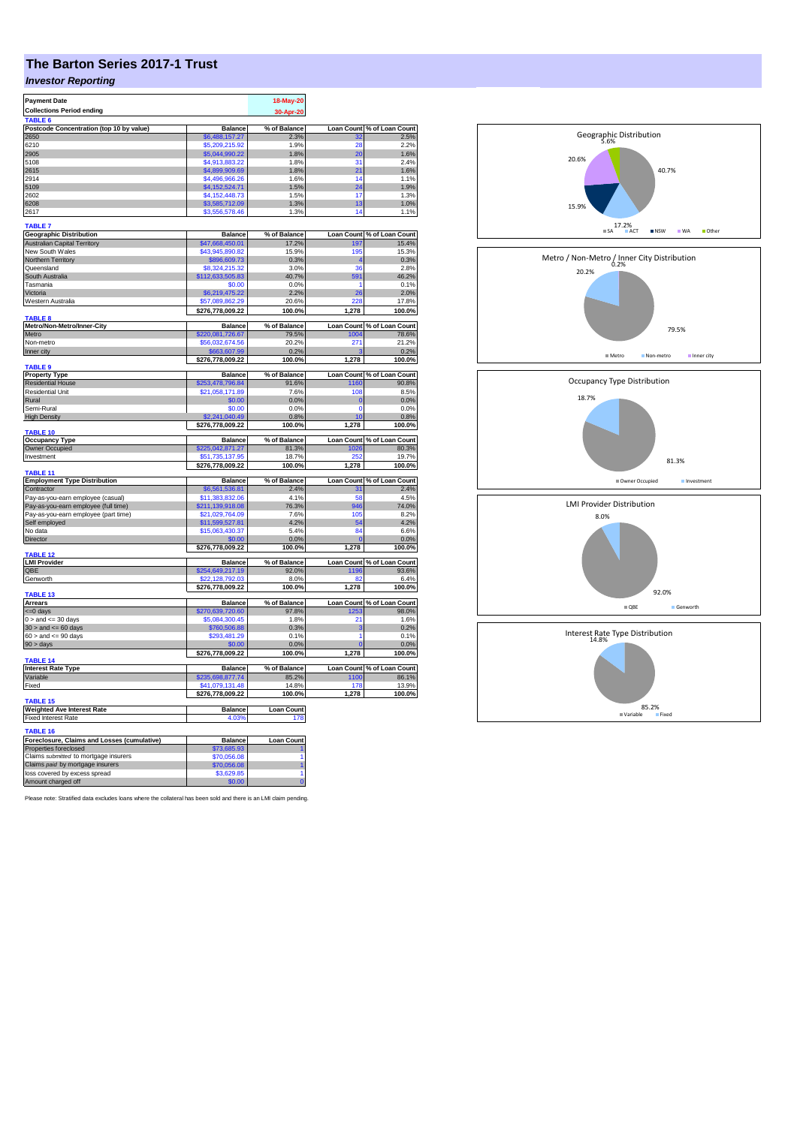# **The Barton Series 2017-1 Trust**

## *Investor Reporting*

| <b>Payment Date</b>                                                  |                           | 18-May-20         |                   |                            |
|----------------------------------------------------------------------|---------------------------|-------------------|-------------------|----------------------------|
| <b>Collections Period ending</b>                                     |                           |                   |                   |                            |
|                                                                      |                           | 30-Apr-20         |                   |                            |
| TABLE <sub>6</sub>                                                   |                           |                   |                   |                            |
| Postcode Concentration (top 10 by value)                             | <b>Balance</b>            | % of Balance      | <b>Loan Count</b> | % of Loan Count<br>2.5%    |
| 2650                                                                 | \$6,488,157.27            | 2.3%              | 28                | 2.2%                       |
| 6210<br>2905                                                         | \$5,209,215.92            | 1.9%              | 20                |                            |
|                                                                      | \$5,044,990.22            | 1.8%              |                   | 1.6%                       |
| 5108                                                                 | \$4,913,883.22            | 1.8%              | 31                | 2.4%                       |
| 2615                                                                 | \$4,899,909.69            | 1.8%              | 21                | 1.6%                       |
| 2914                                                                 | \$4,496,966.26            | 1.6%              | 14                | 1.1%                       |
| 5109                                                                 | \$4,152,524.71            | 1.5%              | 24                | 1.9%                       |
| 2602                                                                 | \$4,152,448.73            | 1.5%              | 17                | 1.3%                       |
| 6208                                                                 | \$3,585,712.09            | 1.3%              | 13                | 1.0%                       |
| 2617                                                                 | \$3,556,578.46            | 1.3%              | 14                | 1.1%                       |
| <b>TABLE 7</b>                                                       |                           |                   |                   |                            |
|                                                                      |                           |                   |                   |                            |
| <b>Geographic Distribution</b>                                       | Balance                   | % of Balance      | <b>Loan Count</b> | % of Loan Count<br>15.4%   |
| <b>Australian Capital Territory</b>                                  | \$47,668,450.01           | 17.2%             | 197               |                            |
| New South Wales                                                      | \$43,945,890.82           | 15.9%             | 195               | 15.3%                      |
| Northern Territory                                                   | \$896,609.73              | 0.3%              |                   | 0.3%                       |
| Queensland                                                           | \$8,324,215.32            | 3.0%              | 36                | 2.8%                       |
| South Australia                                                      | \$112,633,505.83          | 40.7%             | 591               | 46.2%                      |
| Tasmania                                                             | \$0.00                    | 0.0%              | 1                 | 0.1%                       |
| Victoria                                                             | \$6,219,475.22            | 2.2%              | 26                | 2.0%                       |
| Western Australia                                                    | \$57,089,862.29           | 20.6%             | 228               | 17.8%                      |
|                                                                      | \$276,778,009.22          | 100.0%            | 1,278             | 100.0%                     |
| TABLE 8                                                              |                           |                   |                   |                            |
| Metro/Non-Metro/Inner-City                                           | <b>Balance</b>            | % of Balance      | <b>Loan Count</b> | % of Loan Count            |
| Metro                                                                | \$220,081,726.67          | 79.5%             | 1004              | 78.6%                      |
| Non-metro                                                            | \$56,032,674.56           | 20.2%             | 271               | 21.2%                      |
| Inner city                                                           | \$663,607.99              | 0.2%              |                   | 0.2%                       |
|                                                                      | \$276,778,009.22          | 100.0%            | 1,278             | 100.0%                     |
| <b>TABLE 9</b>                                                       |                           |                   |                   |                            |
| <b>Property Type</b>                                                 | <b>Balance</b>            | % of Balance      | <b>Loan Count</b> | % of Loan Count<br>% 90.8  |
| <b>Residential House</b>                                             | 253,478,796.84            | 91.6%             | 1160              |                            |
| <b>Residential Unit</b>                                              | \$21,058,171.89           | 7.6%              | 108               | 8.5%                       |
| Rural                                                                | \$0.00                    | 0.0%              | $\mathbf 0$       | 0.0%                       |
| Semi-Rural                                                           | \$0.00                    | 0.0%              | $\overline{0}$    | 0.0%                       |
| <b>High Density</b>                                                  | 2.241.040.49              | 0.8%              | 10                | 0.8%                       |
|                                                                      | \$276,778,009.22          | 100.0%            | 1,278             | 100.0%                     |
| <b>TABLE 10</b>                                                      |                           |                   |                   |                            |
|                                                                      |                           |                   |                   |                            |
| <b>Occupancy Type</b>                                                | <b>Balance</b>            | % of Balance      | <b>Loan Count</b> |                            |
| Owner Occupied                                                       | \$225,042,871.27          | 81.3%             | 1026              | % of Loan Count<br>80.3%   |
| Investment                                                           | \$51.735.137.95           | 18.7%             |                   | 19.7%                      |
|                                                                      | \$276,778,009.22          | 100.0%            | 1,278             | 100.0%                     |
| TABLE 11                                                             |                           |                   |                   |                            |
| <b>Employment Type Distribution</b>                                  | <b>Balance</b>            | % of Balance      | Loan Count        | % of Loan Count            |
| Contractor                                                           | \$6,561,536.81            | 2.4%              | 31                | 2.4%                       |
| Pay-as-you-earn employee (casual)                                    | \$11,383,832.06           | 4.1%              | 58                | 4.5%                       |
| Pay-as-you-earn employee (full time)                                 | \$211,139,918.08          | 76.3%             | 946               | 74.0%                      |
| Pay-as-you-earn employee (part time)                                 | \$21,029,764.09           | 7.6%              | 105               | 8.2%                       |
| Self employed                                                        | \$11,599,527.81           | 4.2%              | 54                | 4.2%                       |
| No data                                                              | \$15,063,430.37           | 5.4%              | 84                | 6.6%                       |
| Director                                                             | \$0.00                    | 0.0%              | $\mathbf{0}$      | 0.0%                       |
|                                                                      | \$276,778,009.22          | 100.0%            | 1,278             | 100.0%                     |
| <b>TABLE 12</b>                                                      |                           |                   |                   |                            |
| <b>LMI Provider</b>                                                  | Balance                   | % of Balance      |                   | Loan Count % of Loan Count |
| QBE                                                                  | \$254,649,217.19          | 92.0%             | 1196              | 93.6%                      |
| Genworth                                                             | \$22,128,792.03           | 8.0%              | 82                | 6.4%                       |
|                                                                      | \$276,778,009.22          | 100.0%            | 1,278             | 100.0%                     |
| TABLE 13                                                             |                           |                   |                   |                            |
| Arrears                                                              | <b>Balance</b>            | % of Balance      | <b>Loan Count</b> | % of Loan Count            |
| <=0 days                                                             | \$270,639,720.60          | 97.8%             | 1253              | 98.0%                      |
| $0 >$ and $\leq 30$ days                                             | \$5,084,300.45            | 1.8%              | 21                | 1.6%                       |
| $30 >$ and $\leq 60$ days                                            | \$760,506.88              | 0.3%              | з                 | 0.2%                       |
| $60 >$ and $\leq 90$ days                                            | \$293,481.29              | 0.1%              | 1                 | 0.1%                       |
| 90 > days                                                            |                           | 0.0%              |                   | 0.0%                       |
|                                                                      | \$276,778,009.22          | 100.0%            | 1,278             | 100.0%                     |
| <b>TABLE 14</b>                                                      |                           |                   |                   |                            |
| <b>Interest Rate Type</b>                                            | <b>Balance</b>            | % of Balance      | <b>Loan Count</b> | % of Loan Count            |
| Variable                                                             | \$235,698,877.74          | 85.2%             | 1100              | 86.1%                      |
| Fixed                                                                | \$41,079,131.48           | 14.8%             | 178               | 13.9%                      |
|                                                                      | \$276,778,009.22          | 100.0%            | 1,278             | 100.0%                     |
| TABLE <sub>15</sub>                                                  |                           |                   |                   |                            |
| <b>Weighted Ave Interest Rate</b>                                    | <b>Balance</b>            | <b>Loan Count</b> |                   |                            |
| <b>Fixed Interest Rate</b>                                           | 4.03%                     | 178               |                   |                            |
| <b>TABLE 16</b>                                                      |                           |                   |                   |                            |
|                                                                      |                           |                   |                   |                            |
| Foreclosure, Claims and Losses (cumulative)<br>Properties foreclosed | <b>Balance</b>            | <b>Loan Count</b> |                   |                            |
|                                                                      | \$73,685.93               |                   |                   |                            |
| Claims submitted to mortgage insurers                                | \$70,056.08               |                   |                   |                            |
| Claims paid by mortgage insurers<br>loss covered by excess spread    | \$70,056.08<br>\$3,629.85 |                   |                   |                            |

Please note: Stratified data excludes loans where the collateral has been sold and there is an LMI claim pending.